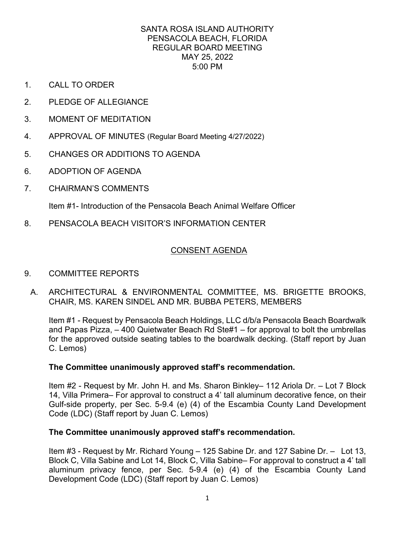- 1. CALL TO ORDER
- 2. PLEDGE OF ALLEGIANCE
- 3. MOMENT OF MEDITATION
- 4. APPROVAL OF MINUTES (Regular Board Meeting 4/27/2022)
- 5. CHANGES OR ADDITIONS TO AGENDA
- 6. ADOPTION OF AGENDA
- 7. CHAIRMAN'S COMMENTS

Item #1- Introduction of the Pensacola Beach Animal Welfare Officer

8. PENSACOLA BEACH VISITOR'S INFORMATION CENTER

# **CONSENT AGENDA**

- CONSENT AGENDA 9. COMMITTEE REPORTS
	- ARCHITECTURAL & ENVIRONMENTAL COMMITTEE, MS. BRIGETTE BROOKS, A. ARCHITECTURAL & ENVIRONMENTAL COMMITTEE, MS. BRIGI<br>CHAIR, MS. KAREN SINDEL AND MR. BUBBA PETERS, MEMBERS

 Item #1 - Request by Pensacola Beach Holdings, LLC d/b/a Pensacola Beach Boardwalk and Papas Pizza, – 400 Quietwater Beach Rd Ste#1 – for approval to bolt the umbrellas for the approved outside seating tables to the boardwalk decking. (Staff report by Juan C. Lemos)

## **The Committee unanimously approved staff's recommendation.**

 Item #2 - Request by Mr. John H. and Ms. Sharon Binkley– 112 Ariola Dr. – Lot 7 Block 14, Villa Primera– For approval to construct a 4' tall aluminum decorative fence, on their Gulf-side property, per Sec. 5-9.4 (e) (4) of the Escambia County Land Development Code (LDC) (Staff report by Juan C. Lemos)

## **The Committee unanimously approved staff's recommendation.**

 Item #3 - Request by Mr. Richard Young – 125 Sabine Dr. and 127 Sabine Dr. – Lot 13, aluminum privacy fence, per Sec. 5-9.4 (e) (4) of the Escambia County Land Block C, Villa Sabine and Lot 14, Block C, Villa Sabine– For approval to construct a 4' tall Development Code (LDC) (Staff report by Juan C. Lemos)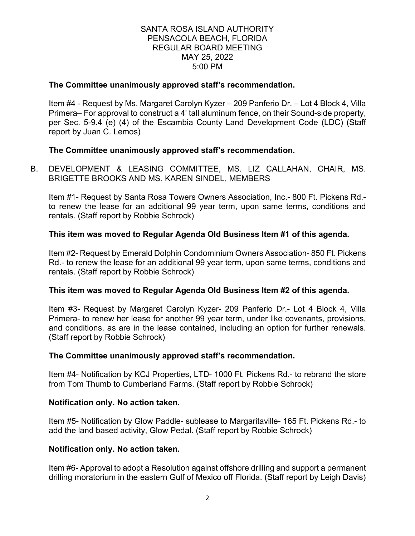## **The Committee unanimously approved staff's recommendation.**

 Item #4 - Request by Ms. Margaret Carolyn Kyzer – 209 Panferio Dr. – Lot 4 Block 4, Villa Primera– For approval to construct a 4' tall aluminum fence, on their Sound-side property, per Sec. 5-9.4 (e) (4) of the Escambia County Land Development Code (LDC) (Staff report by Juan C. Lemos)

## **The Committee unanimously approved staff's recommendation.**

B. DEVELOPMENT & LEASING COMMITTEE, MS. LIZ CALLAHAN, CHAIR, MS. BRIGETTE BROOKS AND MS. KAREN SINDEL, MEMBERS

Item #1- Request by Santa Rosa Towers Owners Association, Inc.- 800 Ft. Pickens Rd. to renew the lease for an additional 99 year term, upon same terms, conditions and rentals. (Staff report by Robbie Schrock)

#### **This item was moved to Regular Agenda Old Business Item #1 of this agenda.**

Item #2- Request by Emerald Dolphin Condominium Owners Association- 850 Ft. Pickens Rd.- to renew the lease for an additional 99 year term, upon same terms, conditions and rentals. (Staff report by Robbie Schrock)

#### **This item was moved to Regular Agenda Old Business Item #2 of this agenda.**

Item #3- Request by Margaret Carolyn Kyzer- 209 Panferio Dr.- Lot 4 Block 4, Villa Primera- to renew her lease for another 99 year term, under like covenants, provisions, and conditions, as are in the lease contained, including an option for further renewals. (Staff report by Robbie Schrock)

#### **The Committee unanimously approved staff's recommendation.**

Item #4- Notification by KCJ Properties, LTD- 1000 Ft. Pickens Rd.- to rebrand the store from Tom Thumb to Cumberland Farms. (Staff report by Robbie Schrock)

#### **Notification only. No action taken.**

Item #5- Notification by Glow Paddle- sublease to Margaritaville- 165 Ft. Pickens Rd.- to add the land based activity, Glow Pedal. (Staff report by Robbie Schrock)

#### **Notification only. No action taken.**

Item #6- Approval to adopt a Resolution against offshore drilling and support a permanent drilling moratorium in the eastern Gulf of Mexico off Florida. (Staff report by Leigh Davis)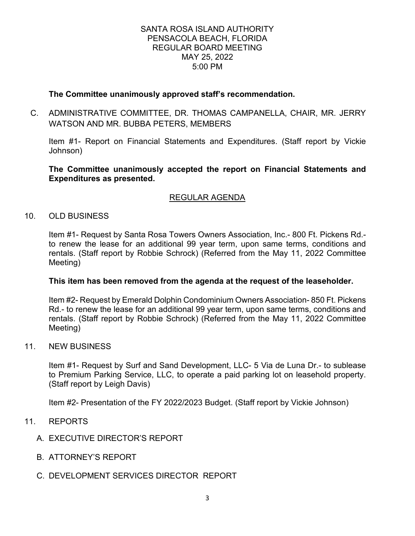## **The Committee unanimously approved staff's recommendation.**

 C. ADMINISTRATIVE COMMITTEE, DR. THOMAS CAMPANELLA, CHAIR, MR. JERRY WATSON AND MR. BUBBA PETERS, MEMBERS

 Item #1- Report on Financial Statements and Expenditures. (Staff report by Vickie Johnson)

**The Committee unanimously accepted the report on Financial Statements and Expenditures as presented.** 

# REGULAR AGENDA

## 10. OLD BUSINESS

Item #1- Request by Santa Rosa Towers Owners Association, Inc.- 800 Ft. Pickens Rd. to renew the lease for an additional 99 year term, upon same terms, conditions and rentals. (Staff report by Robbie Schrock) (Referred from the May 11, 2022 Committee Meeting)

## **This item has been removed from the agenda at the request of the leaseholder.**

 rentals. (Staff report by Robbie Schrock) (Referred from the May 11, 2022 Committee Item #2- Request by Emerald Dolphin Condominium Owners Association- 850 Ft. Pickens Rd.- to renew the lease for an additional 99 year term, upon same terms, conditions and Meeting)

#### 11. NEW BUSINESS

 (Staff report by Leigh Davis) Item #1- Request by Surf and Sand Development, LLC- 5 Via de Luna Dr.- to sublease to Premium Parking Service, LLC, to operate a paid parking lot on leasehold property.

Item #2- Presentation of the FY 2022/2023 Budget. (Staff report by Vickie Johnson)

- 11. REPORTS
	- A. EXECUTIVE DIRECTOR'S REPORT
	- B. ATTORNEY'S REPORT
	- C. DEVELOPMENT SERVICES DIRECTOR REPORT